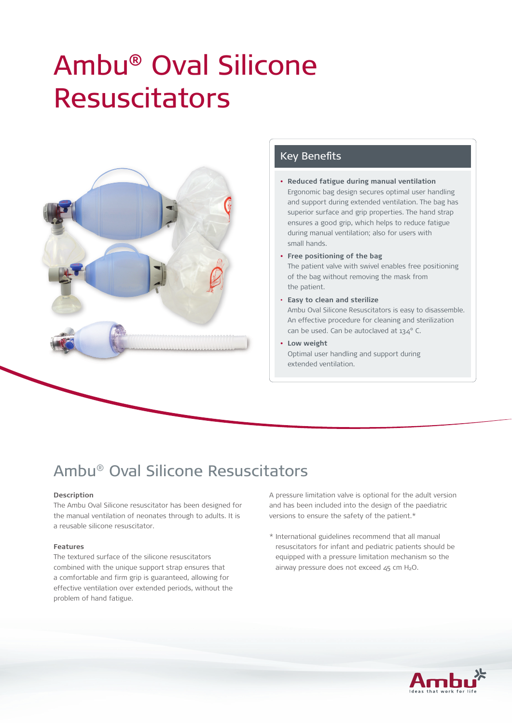# Ambu® Oval Silicone Resuscitators



## Key Benefits

- **• Reduced fatigue during manual ventilation** Ergonomic bag design secures optimal user handling and support during extended ventilation. The bag has superior surface and grip properties. The hand strap ensures a good grip, which helps to reduce fatigue during manual ventilation; also for users with small hands.
- **• Free positioning of the bag** The patient valve with swivel enables free positioning of the bag without removing the mask from the patient.
- • **Easy to clean and sterilize** Ambu Oval Silicone Resuscitators is easy to disassemble. An effective procedure for cleaning and sterilization can be used. Can be autoclaved at 134° C.
- **• Low weight** Optimal user handling and support during extended ventilation.

## Ambu® Oval Silicone Resuscitators

### **Description**

The Ambu Oval Silicone resuscitator has been designed for the manual ventilation of neonates through to adults. It is a reusable silicone resuscitator.

#### **Features**

The textured surface of the silicone resuscitators combined with the unique support strap ensures that a comfortable and firm grip is guaranteed, allowing for effective ventilation over extended periods, without the problem of hand fatigue.

A pressure limitation valve is optional for the adult version and has been included into the design of the paediatric versions to ensure the safety of the patient.\*

\* International guidelines recommend that all manual resuscitators for infant and pediatric patients should be equipped with a pressure limitation mechanism so the airway pressure does not exceed  $45$  cm  $H_2O$ .